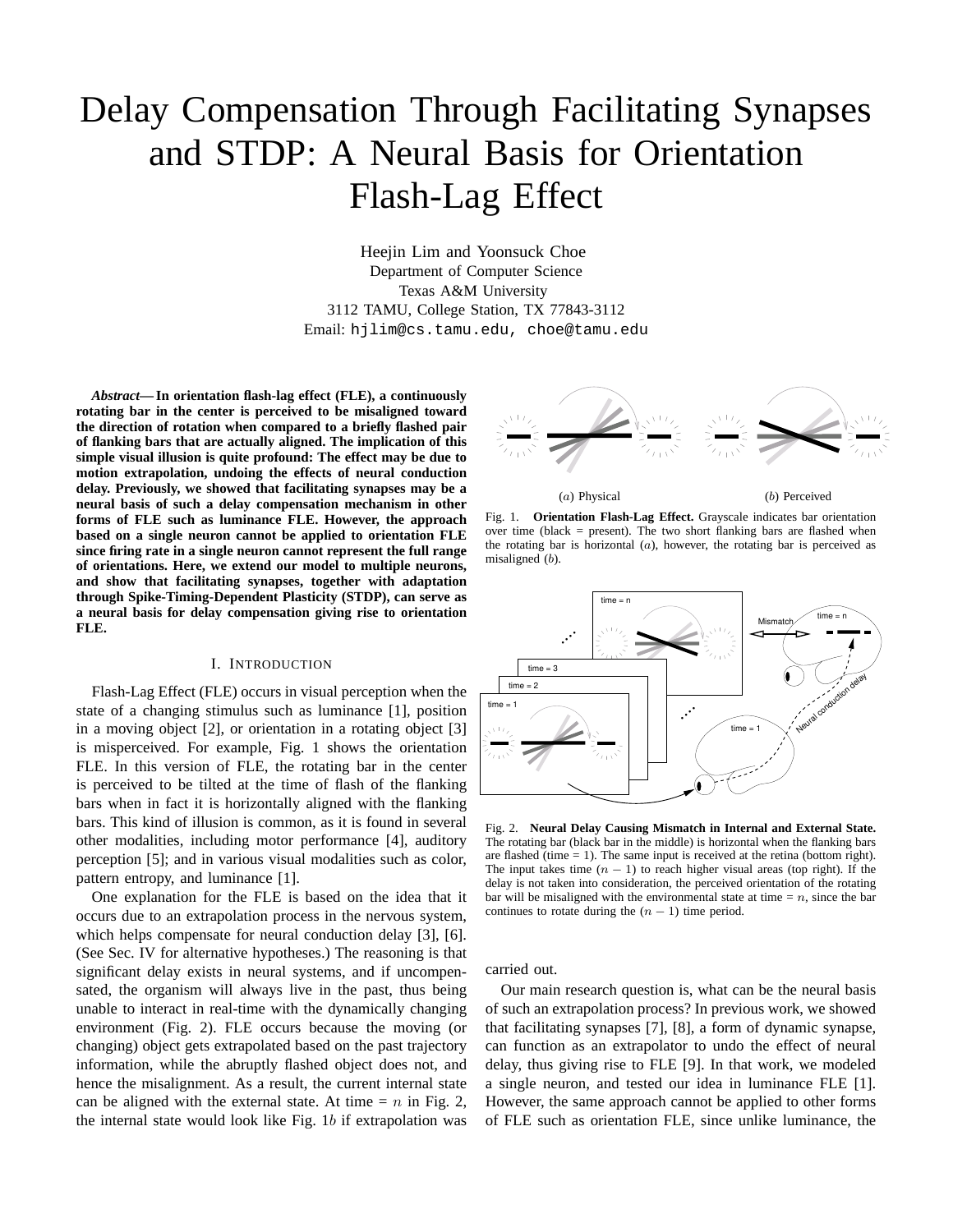# Delay Compensation Through Facilitating Synapses and STDP: A Neural Basis for Orientation Flash-Lag Effect

Heejin Lim and Yoonsuck Choe Department of Computer Science Texas A&M University 3112 TAMU, College Station, TX 77843-3112 Email: hjlim@cs.tamu.edu, choe@tamu.edu

*Abstract***— In orientation flash-lag effect (FLE), a continuously rotating bar in the center is perceived to be misaligned toward the direction of rotation when compared to a briefly flashed pair of flanking bars that are actually aligned. The implication of this simple visual illusion is quite profound: The effect may be due to motion extrapolation, undoing the effects of neural conduction delay. Previously, we showed that facilitating synapses may be a neural basis of such a delay compensation mechanism in other forms of FLE such as luminance FLE. However, the approach based on a single neuron cannot be applied to orientation FLE since firing rate in a single neuron cannot represent the full range of orientations. Here, we extend our model to multiple neurons, and show that facilitating synapses, together with adaptation through Spike-Timing-Dependent Plasticity (STDP), can serve as a neural basis for delay compensation giving rise to orientation FLE.**

#### I. INTRODUCTION

Flash-Lag Effect (FLE) occurs in visual perception when the state of a changing stimulus such as luminance [1], position in a moving object [2], or orientation in a rotating object [3] is misperceived. For example, Fig. 1 shows the orientation FLE. In this version of FLE, the rotating bar in the center is perceived to be tilted at the time of flash of the flanking bars when in fact it is horizontally aligned with the flanking bars. This kind of illusion is common, as it is found in several other modalities, including motor performance [4], auditory perception [5]; and in various visual modalities such as color, pattern entropy, and luminance [1].

One explanation for the FLE is based on the idea that it occurs due to an extrapolation process in the nervous system, which helps compensate for neural conduction delay [3], [6]. (See Sec. IV for alternative hypotheses.) The reasoning is that significant delay exists in neural systems, and if uncompensated, the organism will always live in the past, thus being unable to interact in real-time with the dynamically changing environment (Fig. 2). FLE occurs because the moving (or changing) object gets extrapolated based on the past trajectory information, while the abruptly flashed object does not, and hence the misalignment. As a result, the current internal state can be aligned with the external state. At time  $= n$  in Fig. 2, the internal state would look like Fig. 1b if extrapolation was



(a) Physical (b) Perceived

Fig. 1. **Orientation Flash-Lag Effect.** Grayscale indicates bar orientation over time (black = present). The two short flanking bars are flashed when the rotating bar is horizontal  $(a)$ , however, the rotating bar is perceived as misaligned (b).



Fig. 2. **Neural Delay Causing Mismatch in Internal and External State.** The rotating bar (black bar in the middle) is horizontal when the flanking bars are flashed (time  $= 1$ ). The same input is received at the retina (bottom right). The input takes time  $(n - 1)$  to reach higher visual areas (top right). If the delay is not taken into consideration, the perceived orientation of the rotating bar will be misaligned with the environmental state at time  $=n$ , since the bar continues to rotate during the  $(n - 1)$  time period.

carried out.

Our main research question is, what can be the neural basis of such an extrapolation process? In previous work, we showed that facilitating synapses [7], [8], a form of dynamic synapse, can function as an extrapolator to undo the effect of neural delay, thus giving rise to FLE [9]. In that work, we modeled a single neuron, and tested our idea in luminance FLE [1]. However, the same approach cannot be applied to other forms of FLE such as orientation FLE, since unlike luminance, the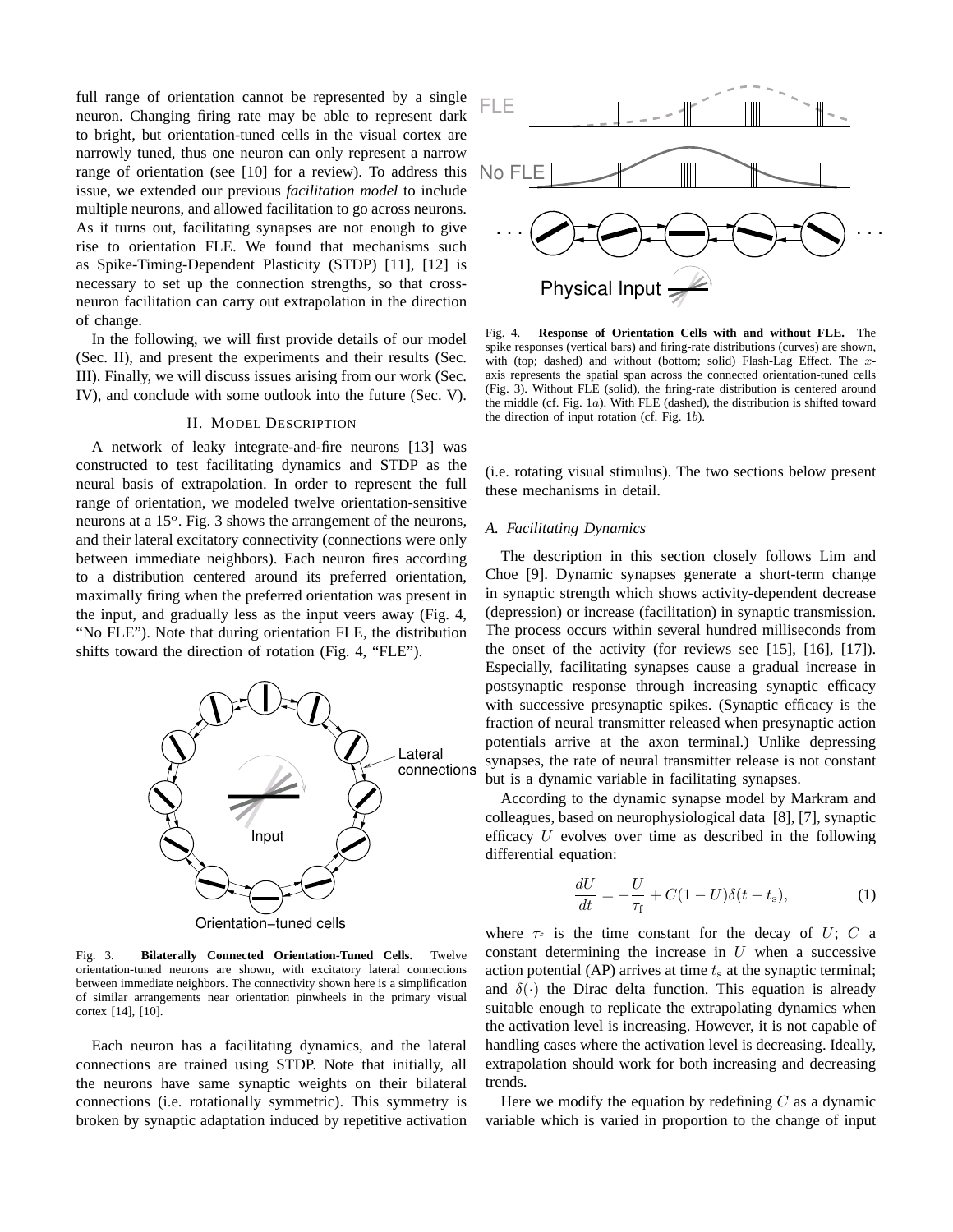full range of orientation cannot be represented by a single neuron. Changing firing rate may be able to represent dark to bright, but orientation-tuned cells in the visual cortex are narrowly tuned, thus one neuron can only represent a narrow range of orientation (see [10] for a review). To address this issue, we extended our previous *facilitation model* to include multiple neurons, and allowed facilitation to go across neurons. As it turns out, facilitating synapses are not enough to give rise to orientation FLE. We found that mechanisms such as Spike-Timing-Dependent Plasticity (STDP) [11], [12] is necessary to set up the connection strengths, so that crossneuron facilitation can carry out extrapolation in the direction of change.

In the following, we will first provide details of our model (Sec. II), and present the experiments and their results (Sec. III). Finally, we will discuss issues arising from our work (Sec. IV), and conclude with some outlook into the future (Sec. V).

### II. MODEL DESCRIPTION

A network of leaky integrate-and-fire neurons [13] was constructed to test facilitating dynamics and STDP as the neural basis of extrapolation. In order to represent the full range of orientation, we modeled twelve orientation-sensitive neurons at a 15°. Fig. 3 shows the arrangement of the neurons, and their lateral excitatory connectivity (connections were only between immediate neighbors). Each neuron fires according to a distribution centered around its preferred orientation, maximally firing when the preferred orientation was present in the input, and gradually less as the input veers away (Fig. 4, "No FLE"). Note that during orientation FLE, the distribution shifts toward the direction of rotation (Fig. 4, "FLE").



Fig. 3. **Bilaterally Connected Orientation-Tuned Cells.** Twelve orientation-tuned neurons are shown, with excitatory lateral connections between immediate neighbors. The connectivity shown here is a simplification of similar arrangements near orientation pinwheels in the primary visual cortex [14], [10].

Each neuron has a facilitating dynamics, and the lateral connections are trained using STDP. Note that initially, all the neurons have same synaptic weights on their bilateral connections (i.e. rotationally symmetric). This symmetry is broken by synaptic adaptation induced by repetitive activation



Fig. 4. **Response of Orientation Cells with and without FLE.** The spike responses (vertical bars) and firing-rate distributions (curves) are shown, with (top; dashed) and without (bottom; solid) Flash-Lag Effect. The xaxis represents the spatial span across the connected orientation-tuned cells (Fig. 3). Without FLE (solid), the firing-rate distribution is centered around the middle (cf. Fig. 1a). With FLE (dashed), the distribution is shifted toward the direction of input rotation (cf. Fig. 1b).

(i.e. rotating visual stimulus). The two sections below present these mechanisms in detail.

## *A. Facilitating Dynamics*

The description in this section closely follows Lim and Choe [9]. Dynamic synapses generate a short-term change in synaptic strength which shows activity-dependent decrease (depression) or increase (facilitation) in synaptic transmission. The process occurs within several hundred milliseconds from the onset of the activity (for reviews see [15], [16], [17]). Especially, facilitating synapses cause a gradual increase in postsynaptic response through increasing synaptic efficacy with successive presynaptic spikes. (Synaptic efficacy is the fraction of neural transmitter released when presynaptic action potentials arrive at the axon terminal.) Unlike depressing synapses, the rate of neural transmitter release is not constant but is a dynamic variable in facilitating synapses.

According to the dynamic synapse model by Markram and colleagues, based on neurophysiological data [8], [7], synaptic efficacy  $U$  evolves over time as described in the following differential equation:

$$
\frac{dU}{dt} = -\frac{U}{\tau_{\rm f}} + C(1-U)\delta(t - t_{\rm s}),\tag{1}
$$

where  $\tau_f$  is the time constant for the decay of U; C a constant determining the increase in  $U$  when a successive action potential (AP) arrives at time  $t<sub>s</sub>$  at the synaptic terminal; and  $\delta(\cdot)$  the Dirac delta function. This equation is already suitable enough to replicate the extrapolating dynamics when the activation level is increasing. However, it is not capable of handling cases where the activation level is decreasing. Ideally, extrapolation should work for both increasing and decreasing trends.

Here we modify the equation by redefining  $C$  as a dynamic variable which is varied in proportion to the change of input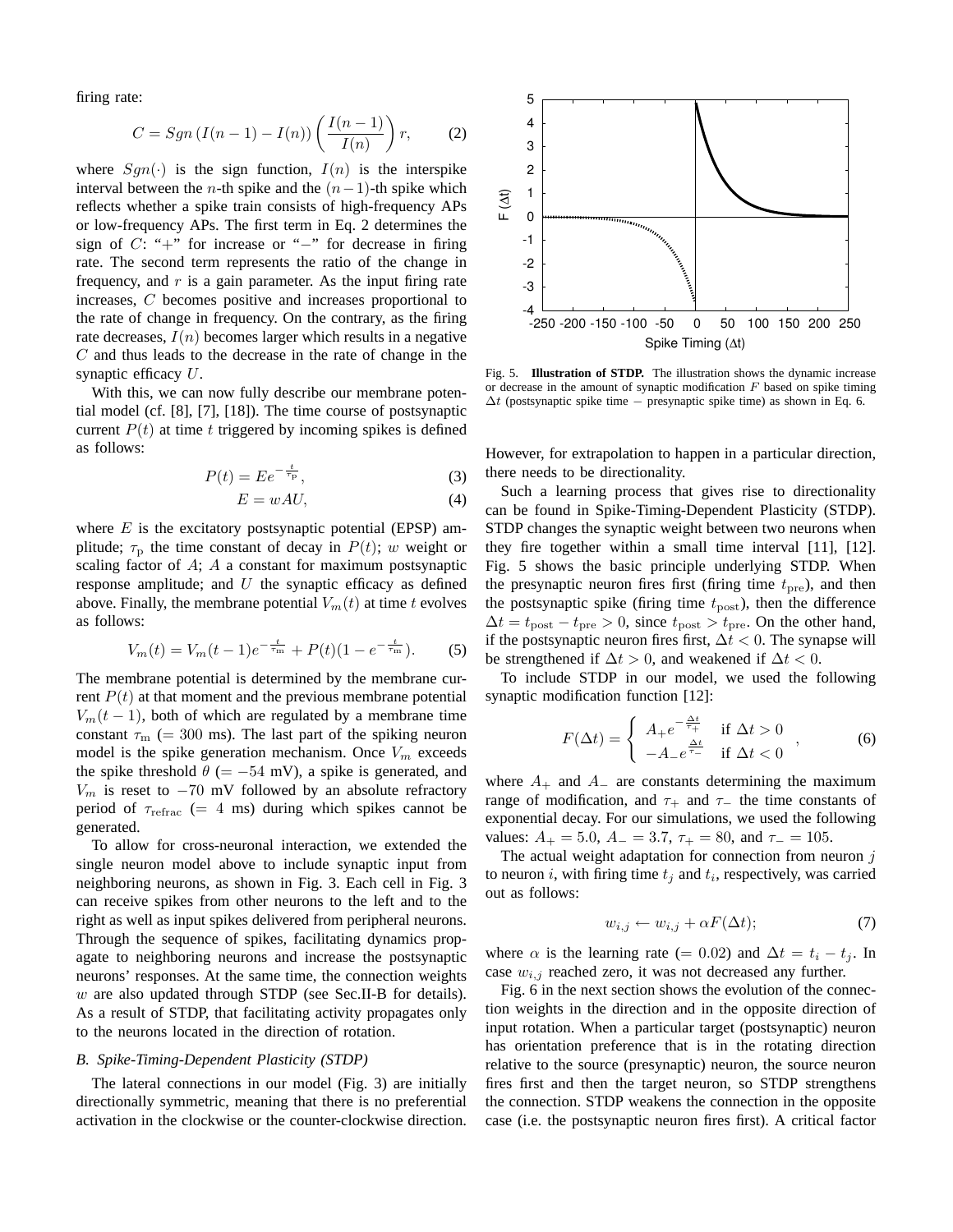firing rate:

$$
C = Sgn (I(n-1) - I(n)) \left( \frac{I(n-1)}{I(n)} \right) r, \qquad (2)
$$

where  $Sgn(\cdot)$  is the sign function,  $I(n)$  is the interspike interval between the *n*-th spike and the  $(n-1)$ -th spike which reflects whether a spike train consists of high-frequency APs or low-frequency APs. The first term in Eq. 2 determines the sign of C: "+" for increase or "−" for decrease in firing rate. The second term represents the ratio of the change in frequency, and  $r$  is a gain parameter. As the input firing rate increases, C becomes positive and increases proportional to the rate of change in frequency. On the contrary, as the firing rate decreases,  $I(n)$  becomes larger which results in a negative C and thus leads to the decrease in the rate of change in the synaptic efficacy U.

With this, we can now fully describe our membrane potential model (cf. [8], [7], [18]). The time course of postsynaptic current  $P(t)$  at time t triggered by incoming spikes is defined as follows:

$$
P(t) = E e^{-\frac{t}{\tau_{\rm p}}},\tag{3}
$$

$$
E = wAU,\t\t(4)
$$

where  $E$  is the excitatory postsynaptic potential (EPSP) amplitude;  $\tau_p$  the time constant of decay in  $P(t)$ ; w weight or scaling factor of A; A a constant for maximum postsynaptic response amplitude; and  $U$  the synaptic efficacy as defined above. Finally, the membrane potential  $V_m(t)$  at time t evolves as follows:

$$
V_m(t) = V_m(t-1)e^{-\frac{t}{\tau_m}} + P(t)(1 - e^{-\frac{t}{\tau_m}}).
$$
 (5)

The membrane potential is determined by the membrane current  $P(t)$  at that moment and the previous membrane potential  $V_m(t-1)$ , both of which are regulated by a membrane time constant  $\tau_{\rm m}$  (= 300 ms). The last part of the spiking neuron model is the spike generation mechanism. Once  $V_m$  exceeds the spike threshold  $\theta$  (= −54 mV), a spike is generated, and  $V_m$  is reset to  $-70$  mV followed by an absolute refractory period of  $\tau_{refrac}$  (= 4 ms) during which spikes cannot be generated.

To allow for cross-neuronal interaction, we extended the single neuron model above to include synaptic input from neighboring neurons, as shown in Fig. 3. Each cell in Fig. 3 can receive spikes from other neurons to the left and to the right as well as input spikes delivered from peripheral neurons. Through the sequence of spikes, facilitating dynamics propagate to neighboring neurons and increase the postsynaptic neurons' responses. At the same time, the connection weights w are also updated through STDP (see Sec.II-B for details). As a result of STDP, that facilitating activity propagates only to the neurons located in the direction of rotation.

# *B. Spike-Timing-Dependent Plasticity (STDP)*

The lateral connections in our model (Fig. 3) are initially directionally symmetric, meaning that there is no preferential activation in the clockwise or the counter-clockwise direction.



Fig. 5. **Illustration of STDP.** The illustration shows the dynamic increase or decrease in the amount of synaptic modification  $F$  based on spike timing  $\Delta t$  (postsynaptic spike time – presynaptic spike time) as shown in Eq. 6.

However, for extrapolation to happen in a particular direction, there needs to be directionality.

Such a learning process that gives rise to directionality can be found in Spike-Timing-Dependent Plasticity (STDP). STDP changes the synaptic weight between two neurons when they fire together within a small time interval [11], [12]. Fig. 5 shows the basic principle underlying STDP. When the presynaptic neuron fires first (firing time  $t_{\text{pre}}$ ), and then the postsynaptic spike (firing time  $t_{\text{post}}$ ), then the difference  $\Delta t = t_{\text{post}} - t_{\text{pre}} > 0$ , since  $t_{\text{post}} > t_{\text{pre}}$ . On the other hand, if the postsynaptic neuron fires first,  $\Delta t$  < 0. The synapse will be strengthened if  $\Delta t > 0$ , and weakened if  $\Delta t < 0$ .

To include STDP in our model, we used the following synaptic modification function [12]:

$$
F(\Delta t) = \begin{cases} A_{+}e^{-\frac{\Delta t}{\tau_{+}}} & \text{if } \Delta t > 0 \\ -A_{-}e^{\frac{\Delta t}{\tau_{-}}} & \text{if } \Delta t < 0 \end{cases}, \tag{6}
$$

where  $A_+$  and  $A_-$  are constants determining the maximum range of modification, and  $\tau_+$  and  $\tau_-$  the time constants of exponential decay. For our simulations, we used the following values:  $A_+ = 5.0$ ,  $A_- = 3.7$ ,  $\tau_+ = 80$ , and  $\tau_- = 105$ .

The actual weight adaptation for connection from neuron  $j$ to neuron *i*, with firing time  $t_j$  and  $t_i$ , respectively, was carried out as follows:

$$
w_{i,j} \leftarrow w_{i,j} + \alpha F(\Delta t); \tag{7}
$$

where  $\alpha$  is the learning rate (= 0.02) and  $\Delta t = t_i - t_j$ . In case  $w_{i,j}$  reached zero, it was not decreased any further.

Fig. 6 in the next section shows the evolution of the connection weights in the direction and in the opposite direction of input rotation. When a particular target (postsynaptic) neuron has orientation preference that is in the rotating direction relative to the source (presynaptic) neuron, the source neuron fires first and then the target neuron, so STDP strengthens the connection. STDP weakens the connection in the opposite case (i.e. the postsynaptic neuron fires first). A critical factor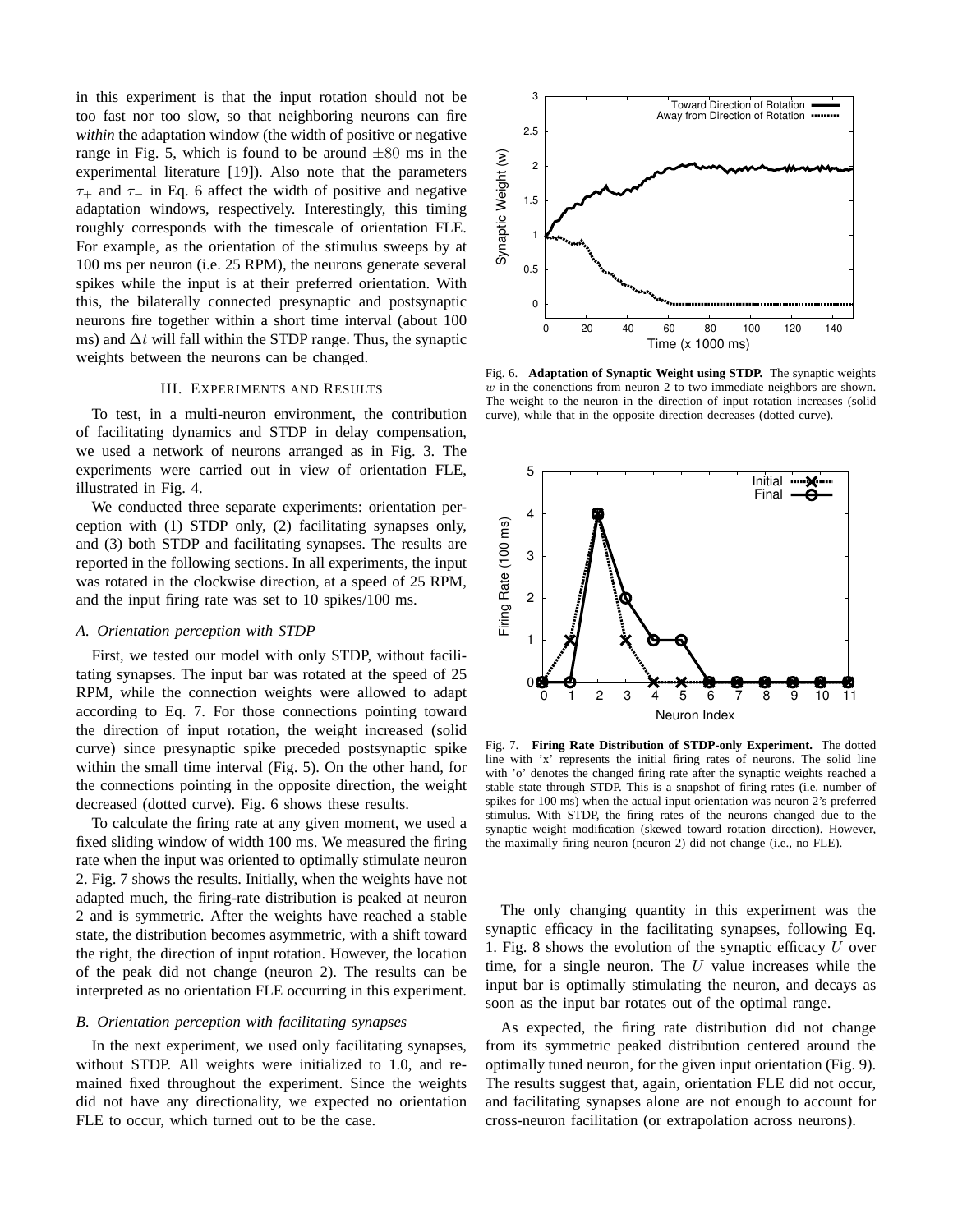in this experiment is that the input rotation should not be too fast nor too slow, so that neighboring neurons can fire *within* the adaptation window (the width of positive or negative range in Fig. 5, which is found to be around  $\pm 80$  ms in the experimental literature [19]). Also note that the parameters  $\tau_+$  and  $\tau_-$  in Eq. 6 affect the width of positive and negative adaptation windows, respectively. Interestingly, this timing roughly corresponds with the timescale of orientation FLE. For example, as the orientation of the stimulus sweeps by at 100 ms per neuron (i.e. 25 RPM), the neurons generate several spikes while the input is at their preferred orientation. With this, the bilaterally connected presynaptic and postsynaptic neurons fire together within a short time interval (about 100 ms) and  $\Delta t$  will fall within the STDP range. Thus, the synaptic weights between the neurons can be changed.

### III. EXPERIMENTS AND RESULTS

To test, in a multi-neuron environment, the contribution of facilitating dynamics and STDP in delay compensation, we used a network of neurons arranged as in Fig. 3. The experiments were carried out in view of orientation FLE, illustrated in Fig. 4.

We conducted three separate experiments: orientation perception with (1) STDP only, (2) facilitating synapses only, and (3) both STDP and facilitating synapses. The results are reported in the following sections. In all experiments, the input was rotated in the clockwise direction, at a speed of 25 RPM, and the input firing rate was set to 10 spikes/100 ms.

## *A. Orientation perception with STDP*

First, we tested our model with only STDP, without facilitating synapses. The input bar was rotated at the speed of 25 RPM, while the connection weights were allowed to adapt according to Eq. 7. For those connections pointing toward the direction of input rotation, the weight increased (solid curve) since presynaptic spike preceded postsynaptic spike within the small time interval (Fig. 5). On the other hand, for the connections pointing in the opposite direction, the weight decreased (dotted curve). Fig. 6 shows these results.

To calculate the firing rate at any given moment, we used a fixed sliding window of width 100 ms. We measured the firing rate when the input was oriented to optimally stimulate neuron 2. Fig. 7 shows the results. Initially, when the weights have not adapted much, the firing-rate distribution is peaked at neuron 2 and is symmetric. After the weights have reached a stable state, the distribution becomes asymmetric, with a shift toward the right, the direction of input rotation. However, the location of the peak did not change (neuron 2). The results can be interpreted as no orientation FLE occurring in this experiment.

## *B. Orientation perception with facilitating synapses*

In the next experiment, we used only facilitating synapses, without STDP. All weights were initialized to 1.0, and remained fixed throughout the experiment. Since the weights did not have any directionality, we expected no orientation FLE to occur, which turned out to be the case.



Fig. 6. **Adaptation of Synaptic Weight using STDP.** The synaptic weights  $w$  in the conenctions from neuron 2 to two immediate neighbors are shown. The weight to the neuron in the direction of input rotation increases (solid curve), while that in the opposite direction decreases (dotted curve).



Fig. 7. **Firing Rate Distribution of STDP-only Experiment.** The dotted line with 'x' represents the initial firing rates of neurons. The solid line with 'o' denotes the changed firing rate after the synaptic weights reached a stable state through STDP. This is a snapshot of firing rates (i.e. number of spikes for 100 ms) when the actual input orientation was neuron 2's preferred stimulus. With STDP, the firing rates of the neurons changed due to the synaptic weight modification (skewed toward rotation direction). However, the maximally firing neuron (neuron 2) did not change (i.e., no FLE).

The only changing quantity in this experiment was the synaptic efficacy in the facilitating synapses, following Eq. 1. Fig. 8 shows the evolution of the synaptic efficacy  $U$  over time, for a single neuron. The  $U$  value increases while the input bar is optimally stimulating the neuron, and decays as soon as the input bar rotates out of the optimal range.

As expected, the firing rate distribution did not change from its symmetric peaked distribution centered around the optimally tuned neuron, for the given input orientation (Fig. 9). The results suggest that, again, orientation FLE did not occur, and facilitating synapses alone are not enough to account for cross-neuron facilitation (or extrapolation across neurons).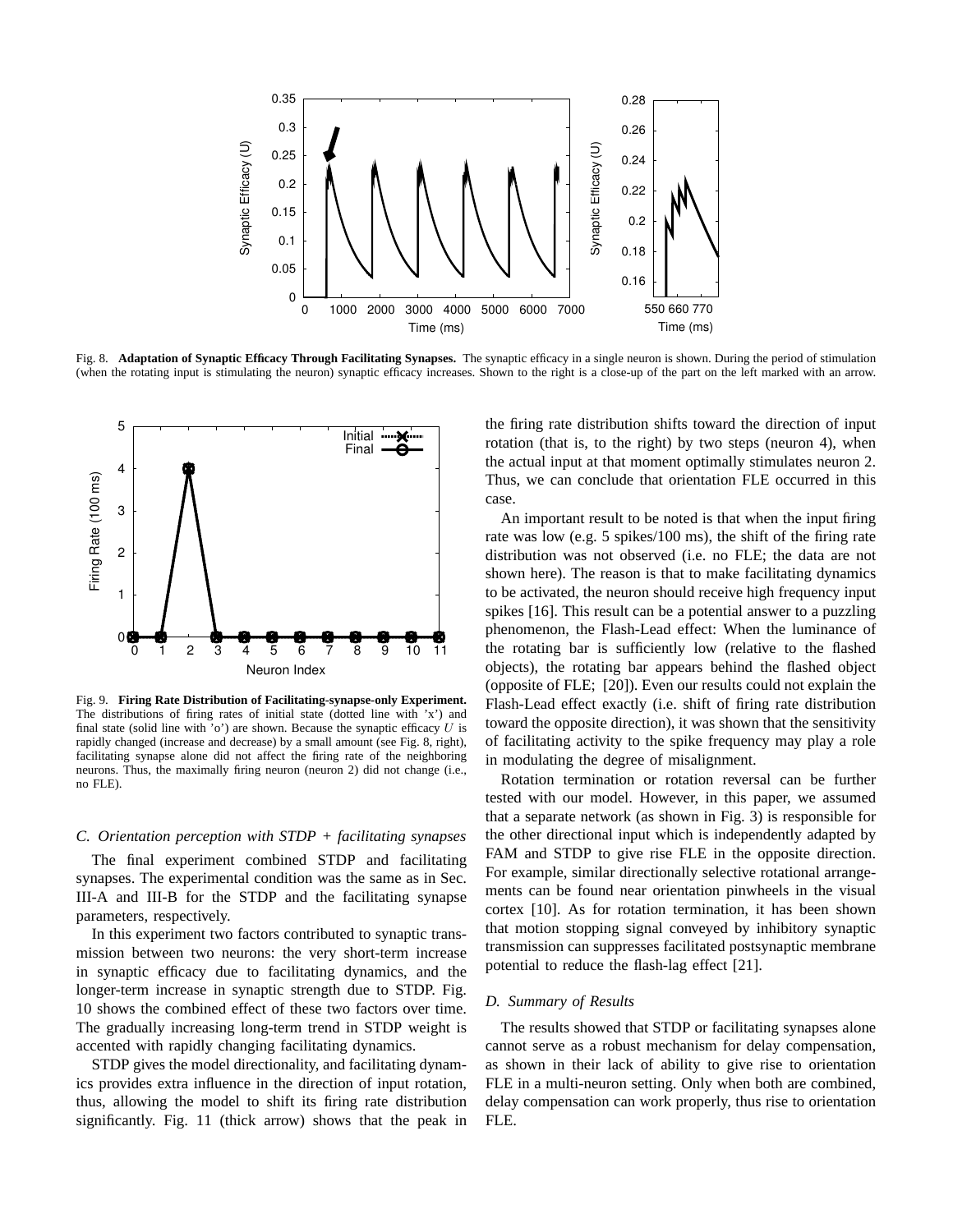

Fig. 8. **Adaptation of Synaptic Efficacy Through Facilitating Synapses.** The synaptic efficacy in a single neuron is shown. During the period of stimulation (when the rotating input is stimulating the neuron) synaptic efficacy increases. Shown to the right is a close-up of the part on the left marked with an arrow.



Fig. 9. **Firing Rate Distribution of Facilitating-synapse-only Experiment.** The distributions of firing rates of initial state (dotted line with 'x') and final state (solid line with 'o') are shown. Because the synaptic efficacy  $U$  is rapidly changed (increase and decrease) by a small amount (see Fig. 8, right), facilitating synapse alone did not affect the firing rate of the neighboring neurons. Thus, the maximally firing neuron (neuron 2) did not change (i.e., no FLE).

# *C. Orientation perception with STDP + facilitating synapses*

The final experiment combined STDP and facilitating synapses. The experimental condition was the same as in Sec. III-A and III-B for the STDP and the facilitating synapse parameters, respectively.

In this experiment two factors contributed to synaptic transmission between two neurons: the very short-term increase in synaptic efficacy due to facilitating dynamics, and the longer-term increase in synaptic strength due to STDP. Fig. 10 shows the combined effect of these two factors over time. The gradually increasing long-term trend in STDP weight is accented with rapidly changing facilitating dynamics.

STDP gives the model directionality, and facilitating dynamics provides extra influence in the direction of input rotation, thus, allowing the model to shift its firing rate distribution significantly. Fig. 11 (thick arrow) shows that the peak in the firing rate distribution shifts toward the direction of input rotation (that is, to the right) by two steps (neuron 4), when the actual input at that moment optimally stimulates neuron 2. Thus, we can conclude that orientation FLE occurred in this case.

An important result to be noted is that when the input firing rate was low (e.g. 5 spikes/100 ms), the shift of the firing rate distribution was not observed (i.e. no FLE; the data are not shown here). The reason is that to make facilitating dynamics to be activated, the neuron should receive high frequency input spikes [16]. This result can be a potential answer to a puzzling phenomenon, the Flash-Lead effect: When the luminance of the rotating bar is sufficiently low (relative to the flashed objects), the rotating bar appears behind the flashed object (opposite of FLE; [20]). Even our results could not explain the Flash-Lead effect exactly (i.e. shift of firing rate distribution toward the opposite direction), it was shown that the sensitivity of facilitating activity to the spike frequency may play a role in modulating the degree of misalignment.

Rotation termination or rotation reversal can be further tested with our model. However, in this paper, we assumed that a separate network (as shown in Fig. 3) is responsible for the other directional input which is independently adapted by FAM and STDP to give rise FLE in the opposite direction. For example, similar directionally selective rotational arrangements can be found near orientation pinwheels in the visual cortex [10]. As for rotation termination, it has been shown that motion stopping signal conveyed by inhibitory synaptic transmission can suppresses facilitated postsynaptic membrane potential to reduce the flash-lag effect [21].

# *D. Summary of Results*

The results showed that STDP or facilitating synapses alone cannot serve as a robust mechanism for delay compensation, as shown in their lack of ability to give rise to orientation FLE in a multi-neuron setting. Only when both are combined, delay compensation can work properly, thus rise to orientation FLE.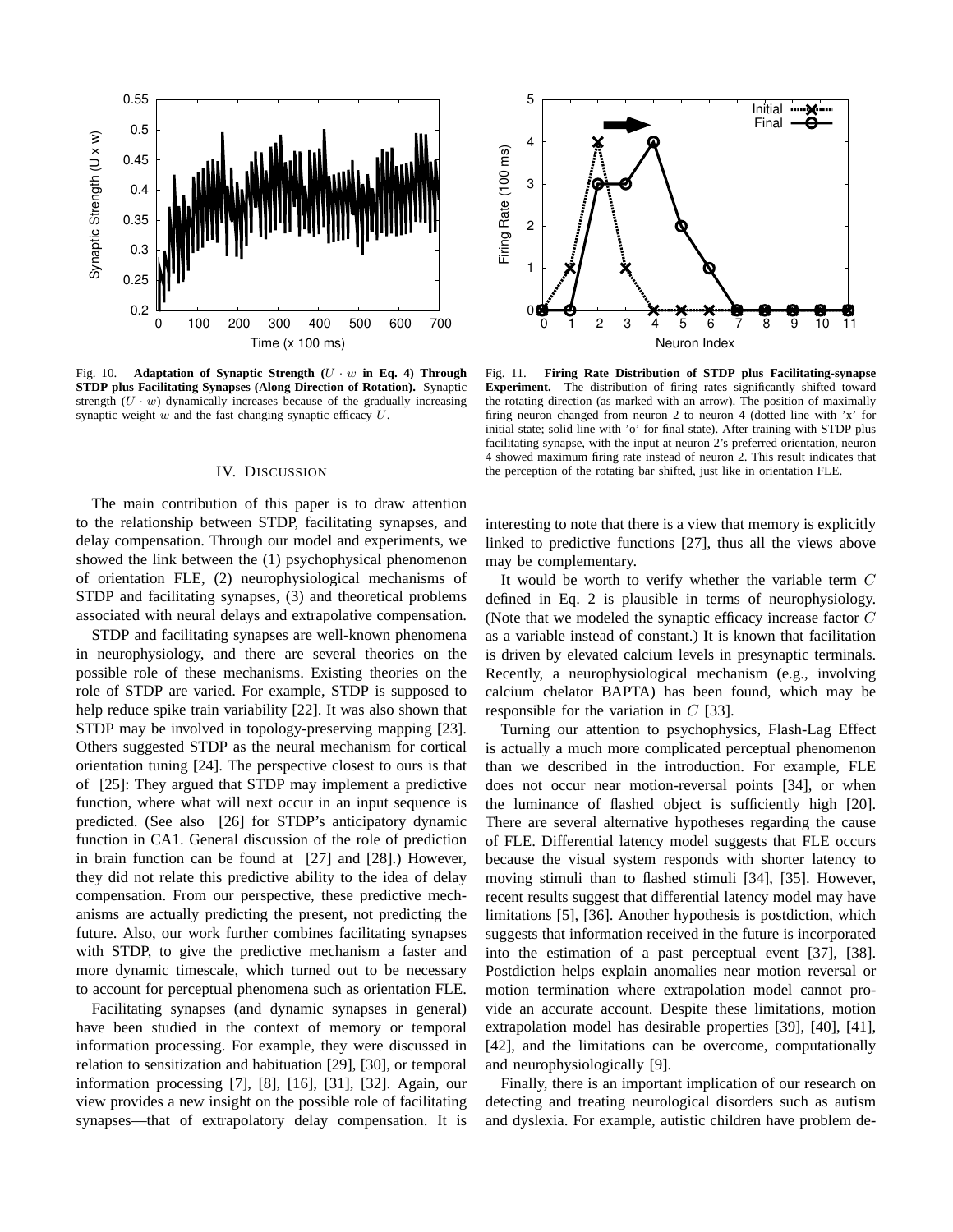

Fig. 10. **Adaptation of Synaptic Strength (**U · w **in Eq. 4) Through STDP plus Facilitating Synapses (Along Direction of Rotation).** Synaptic strength  $(U \cdot w)$  dynamically increases because of the gradually increasing synaptic weight  $w$  and the fast changing synaptic efficacy  $U$ .

## IV. DISCUSSION

The main contribution of this paper is to draw attention to the relationship between STDP, facilitating synapses, and delay compensation. Through our model and experiments, we showed the link between the (1) psychophysical phenomenon of orientation FLE, (2) neurophysiological mechanisms of STDP and facilitating synapses, (3) and theoretical problems associated with neural delays and extrapolative compensation.

STDP and facilitating synapses are well-known phenomena in neurophysiology, and there are several theories on the possible role of these mechanisms. Existing theories on the role of STDP are varied. For example, STDP is supposed to help reduce spike train variability [22]. It was also shown that STDP may be involved in topology-preserving mapping [23]. Others suggested STDP as the neural mechanism for cortical orientation tuning [24]. The perspective closest to ours is that of [25]: They argued that STDP may implement a predictive function, where what will next occur in an input sequence is predicted. (See also [26] for STDP's anticipatory dynamic function in CA1. General discussion of the role of prediction in brain function can be found at [27] and [28].) However, they did not relate this predictive ability to the idea of delay compensation. From our perspective, these predictive mechanisms are actually predicting the present, not predicting the future. Also, our work further combines facilitating synapses with STDP, to give the predictive mechanism a faster and more dynamic timescale, which turned out to be necessary to account for perceptual phenomena such as orientation FLE.

Facilitating synapses (and dynamic synapses in general) have been studied in the context of memory or temporal information processing. For example, they were discussed in relation to sensitization and habituation [29], [30], or temporal information processing [7], [8], [16], [31], [32]. Again, our view provides a new insight on the possible role of facilitating synapses—that of extrapolatory delay compensation. It is



Fig. 11. **Firing Rate Distribution of STDP plus Facilitating-synapse Experiment.** The distribution of firing rates significantly shifted toward the rotating direction (as marked with an arrow). The position of maximally firing neuron changed from neuron 2 to neuron 4 (dotted line with 'x' for initial state; solid line with 'o' for final state). After training with STDP plus facilitating synapse, with the input at neuron 2's preferred orientation, neuron 4 showed maximum firing rate instead of neuron 2. This result indicates that the perception of the rotating bar shifted, just like in orientation FLE.

interesting to note that there is a view that memory is explicitly linked to predictive functions [27], thus all the views above may be complementary.

It would be worth to verify whether the variable term C defined in Eq. 2 is plausible in terms of neurophysiology. (Note that we modeled the synaptic efficacy increase factor C as a variable instead of constant.) It is known that facilitation is driven by elevated calcium levels in presynaptic terminals. Recently, a neurophysiological mechanism (e.g., involving calcium chelator BAPTA) has been found, which may be responsible for the variation in  $C$  [33].

Turning our attention to psychophysics, Flash-Lag Effect is actually a much more complicated perceptual phenomenon than we described in the introduction. For example, FLE does not occur near motion-reversal points [34], or when the luminance of flashed object is sufficiently high [20]. There are several alternative hypotheses regarding the cause of FLE. Differential latency model suggests that FLE occurs because the visual system responds with shorter latency to moving stimuli than to flashed stimuli [34], [35]. However, recent results suggest that differential latency model may have limitations [5], [36]. Another hypothesis is postdiction, which suggests that information received in the future is incorporated into the estimation of a past perceptual event [37], [38]. Postdiction helps explain anomalies near motion reversal or motion termination where extrapolation model cannot provide an accurate account. Despite these limitations, motion extrapolation model has desirable properties [39], [40], [41], [42], and the limitations can be overcome, computationally and neurophysiologically [9].

Finally, there is an important implication of our research on detecting and treating neurological disorders such as autism and dyslexia. For example, autistic children have problem de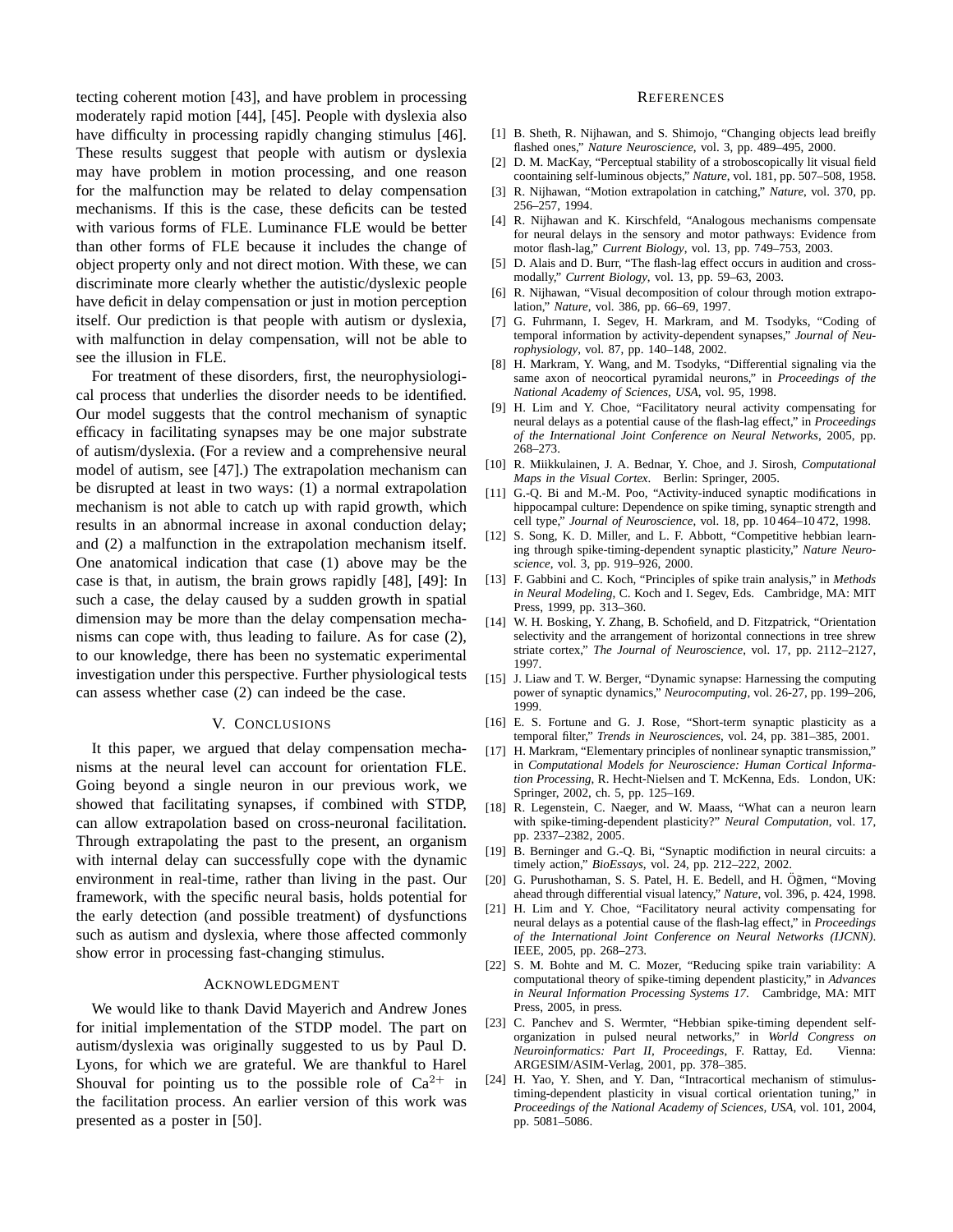tecting coherent motion [43], and have problem in processing moderately rapid motion [44], [45]. People with dyslexia also have difficulty in processing rapidly changing stimulus [46]. These results suggest that people with autism or dyslexia may have problem in motion processing, and one reason for the malfunction may be related to delay compensation mechanisms. If this is the case, these deficits can be tested with various forms of FLE. Luminance FLE would be better than other forms of FLE because it includes the change of object property only and not direct motion. With these, we can discriminate more clearly whether the autistic/dyslexic people have deficit in delay compensation or just in motion perception itself. Our prediction is that people with autism or dyslexia, with malfunction in delay compensation, will not be able to see the illusion in FLE.

For treatment of these disorders, first, the neurophysiological process that underlies the disorder needs to be identified. Our model suggests that the control mechanism of synaptic efficacy in facilitating synapses may be one major substrate of autism/dyslexia. (For a review and a comprehensive neural model of autism, see [47].) The extrapolation mechanism can be disrupted at least in two ways: (1) a normal extrapolation mechanism is not able to catch up with rapid growth, which results in an abnormal increase in axonal conduction delay; and (2) a malfunction in the extrapolation mechanism itself. One anatomical indication that case (1) above may be the case is that, in autism, the brain grows rapidly [48], [49]: In such a case, the delay caused by a sudden growth in spatial dimension may be more than the delay compensation mechanisms can cope with, thus leading to failure. As for case (2), to our knowledge, there has been no systematic experimental investigation under this perspective. Further physiological tests can assess whether case (2) can indeed be the case.

#### V. CONCLUSIONS

It this paper, we argued that delay compensation mechanisms at the neural level can account for orientation FLE. Going beyond a single neuron in our previous work, we showed that facilitating synapses, if combined with STDP, can allow extrapolation based on cross-neuronal facilitation. Through extrapolating the past to the present, an organism with internal delay can successfully cope with the dynamic environment in real-time, rather than living in the past. Our framework, with the specific neural basis, holds potential for the early detection (and possible treatment) of dysfunctions such as autism and dyslexia, where those affected commonly show error in processing fast-changing stimulus.

#### ACKNOWLEDGMENT

We would like to thank David Mayerich and Andrew Jones for initial implementation of the STDP model. The part on autism/dyslexia was originally suggested to us by Paul D. Lyons, for which we are grateful. We are thankful to Harel Shouval for pointing us to the possible role of  $Ca^{2+}$  in the facilitation process. An earlier version of this work was presented as a poster in [50].

#### **REFERENCES**

- [1] B. Sheth, R. Nijhawan, and S. Shimojo, "Changing objects lead breifly flashed ones," *Nature Neuroscience*, vol. 3, pp. 489–495, 2000.
- [2] D. M. MacKay, "Perceptual stability of a stroboscopically lit visual field coontaining self-luminous objects," *Nature*, vol. 181, pp. 507–508, 1958.
- [3] R. Nijhawan, "Motion extrapolation in catching," *Nature*, vol. 370, pp. 256–257, 1994.
- [4] R. Nijhawan and K. Kirschfeld, "Analogous mechanisms compensate for neural delays in the sensory and motor pathways: Evidence from motor flash-lag," *Current Biology*, vol. 13, pp. 749–753, 2003.
- [5] D. Alais and D. Burr, "The flash-lag effect occurs in audition and crossmodally," *Current Biology*, vol. 13, pp. 59–63, 2003.
- [6] R. Nijhawan, "Visual decomposition of colour through motion extrapolation," *Nature*, vol. 386, pp. 66–69, 1997.
- [7] G. Fuhrmann, I. Segev, H. Markram, and M. Tsodyks, "Coding of temporal information by activity-dependent synapses," *Journal of Neurophysiology*, vol. 87, pp. 140–148, 2002.
- [8] H. Markram, Y. Wang, and M. Tsodyks, "Differential signaling via the same axon of neocortical pyramidal neurons," in *Proceedings of the National Academy of Sciences, USA*, vol. 95, 1998.
- [9] H. Lim and Y. Choe, "Facilitatory neural activity compensating for neural delays as a potential cause of the flash-lag effect," in *Proceedings of the International Joint Conference on Neural Networks*, 2005, pp. 268–273.
- [10] R. Miikkulainen, J. A. Bednar, Y. Choe, and J. Sirosh, *Computational Maps in the Visual Cortex*. Berlin: Springer, 2005.
- [11] G.-O. Bi and M.-M. Poo, "Activity-induced synaptic modifications in hippocampal culture: Dependence on spike timing, synaptic strength and cell type," *Journal of Neuroscience*, vol. 18, pp. 10 464–10 472, 1998.
- [12] S. Song, K. D. Miller, and L. F. Abbott, "Competitive hebbian learning through spike-timing-dependent synaptic plasticity," *Nature Neuroscience*, vol. 3, pp. 919–926, 2000.
- [13] F. Gabbini and C. Koch, "Principles of spike train analysis," in *Methods in Neural Modeling*, C. Koch and I. Segev, Eds. Cambridge, MA: MIT Press, 1999, pp. 313–360.
- [14] W. H. Bosking, Y. Zhang, B. Schofield, and D. Fitzpatrick, "Orientation selectivity and the arrangement of horizontal connections in tree shrew striate cortex," *The Journal of Neuroscience*, vol. 17, pp. 2112–2127, 1997.
- [15] J. Liaw and T. W. Berger, "Dynamic synapse: Harnessing the computing power of synaptic dynamics," *Neurocomputing*, vol. 26-27, pp. 199–206, 1999.
- [16] E. S. Fortune and G. J. Rose, "Short-term synaptic plasticity as a temporal filter," *Trends in Neurosciences*, vol. 24, pp. 381–385, 2001.
- [17] H. Markram, "Elementary principles of nonlinear synaptic transmission," in *Computational Models for Neuroscience: Human Cortical Information Processing*, R. Hecht-Nielsen and T. McKenna, Eds. London, UK: Springer, 2002, ch. 5, pp. 125–169.
- [18] R. Legenstein, C. Naeger, and W. Maass, "What can a neuron learn with spike-timing-dependent plasticity?" *Neural Computation*, vol. 17, pp. 2337–2382, 2005.
- [19] B. Berninger and G.-Q. Bi, "Synaptic modifiction in neural circuits: a timely action," *BioEssays*, vol. 24, pp. 212–222, 2002.
- [20] G. Purushothaman, S. S. Patel, H. E. Bedell, and H. Öğmen, "Moving ahead through differential visual latency," *Nature*, vol. 396, p. 424, 1998.
- [21] H. Lim and Y. Choe, "Facilitatory neural activity compensating for neural delays as a potential cause of the flash-lag effect," in *Proceedings of the International Joint Conference on Neural Networks (IJCNN)*. IEEE, 2005, pp. 268–273.
- [22] S. M. Bohte and M. C. Mozer, "Reducing spike train variability: A computational theory of spike-timing dependent plasticity," in *Advances in Neural Information Processing Systems 17*. Cambridge, MA: MIT Press, 2005, in press.
- [23] C. Panchev and S. Wermter, "Hebbian spike-timing dependent selforganization in pulsed neural networks," in *World Congress on Neuroinformatics: Part II, Proceedings*, F. Rattay, Ed. Vienna: ARGESIM/ASIM-Verlag, 2001, pp. 378–385.
- [24] H. Yao, Y. Shen, and Y. Dan, "Intracortical mechanism of stimulustiming-dependent plasticity in visual cortical orientation tuning," in *Proceedings of the National Academy of Sciences, USA*, vol. 101, 2004, pp. 5081–5086.